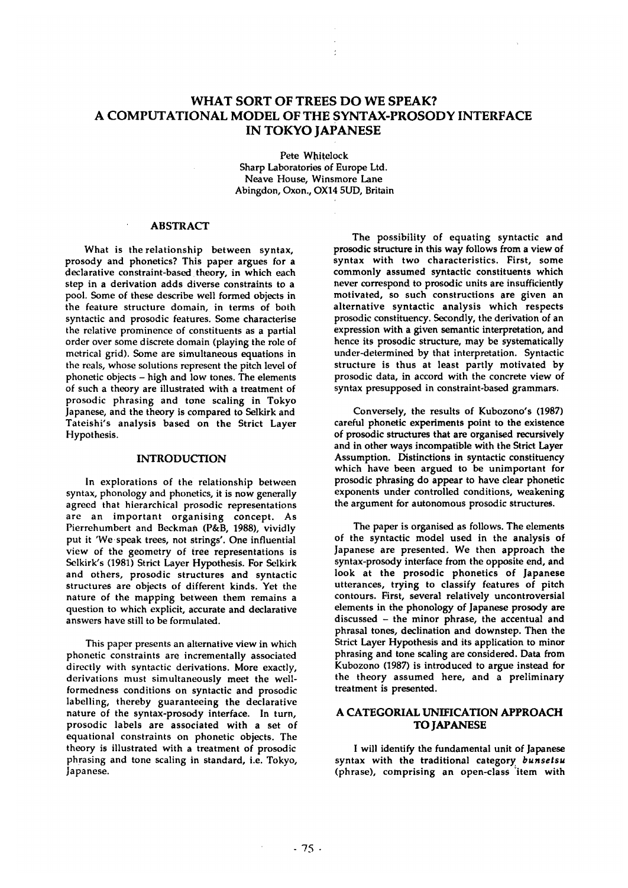# **WHAT SORT OF TREES DO WE SPEAK? A COMPUTATIONAL MODEL OF THE SYNTAX-PROSODY INTERFACE IN TOKYO JAPANESE**

Pete Whitelock Sharp Laboratories of Europe Ltd. Neave House, Winsmore Lane Abingdon, Oxon., OX14 5UD, Britain

# ABSTRACT

What is the relationship between syntax, prosody and phonetics? This paper argues for a declarative constraint-based theory, in which each step in a derivation adds diverse constraints to a pool. Some of these describe well formed objects in the feature structure domain, in terms of both syntactic and prosodic features. Some characterise the relative prominence of constituents as a partial order over some discrete domain (playing the role of metrical grid). Some are simultaneous equations in the reals, whose solutions represent the pitch level of phonetic objects - high and low tones. The elements of such a theory are illustrated with a treatment of prosodic phrasing and tone scaling in Tokyo Japanese, and the theory is compared to Selkirk and Tateishi's analysis based on the Strict Layer Hypothesis.

### INTRODUCTION

In explorations of the relationship between syntax, phonology and phonetics, it is now generally agreed that hierarchical prosodic representations are an important organising concept. As Pierrehumbert and Beckman (P&B, 1988), vividly put it 'We speak trees, not strings'. One influential view of the geometry of tree representations is Selkirk's (1981) Strict Layer Hypothesis. For Selkirk and others, prosodic structures and syntactic structures are objects of different kinds. Yet the nature of the mapping between them remains a question to which explicit, accurate and declarative answers have still to be formulated.

This paper presents an alternative view in which phonetic constraints are incrementally associated directly with syntactic derivations. More exactly, derivations must simultaneously meet the wellformedness conditions on syntactic and prosodic labelling, thereby guaranteeing the declarative nature of the syntax-prosody interface. In turn, prosodic labels are associated with a set of equational constraints on phonetic objects. The theory is illustrated with a treatment of prosodic phrasing and tone scaling in standard, i.e. Tokyo, Japanese.

The possibility of equating syntactic and prosodic structure in this way follows from a view of syntax with two characteristics. First, some commonly assumed syntactic constituents which never correspond to prosodic units are insufficiently motivated, so such constructions are given an alternative syntactic analysis which respects prosodic constituency. Secondly, the derivation of an expression with a given semantic interpretation, and hence its prosodic structure, may be systematically under-determined by that interpretation. Syntactic structure is thus at least partly motivated by prosodic data, in accord with the concrete view of syntax presupposed in constraint-based grammars.

Conversely, the results of Kubozono's (1987) careful phonetic experiments point to the existence of prosodic structures that are organised recursively and in other ways incompatible with the Strict Layer Assumption. Distinctions in syntactic constituency which have been argued to be unimportant for prosodic phrasing do appear to have clear phonetic exponents under controlled conditions, weakening the argument for autonomous prosodic structures.

The paper is organised as follows. The elements of the syntactic model used in the analysis of Japanese are presented. We then approach the syntax-prosody interface from the opposite end, and look at the prosodic phonetics of Japanese utterances, trying to classify features of pitch contours. First, several relatively uncontroversial elements in the phonology of Japanese prosody are discussed - the minor phrase, the accentual and phrasal tones, declination and downstep. Then the Strict Layer Hypothesis and its application to minor phrasing and tone scaling are considered. Data from Kubozono (1987) is introduced to argue instead for the theory assumed here, and a preliminary treatment is presented.

# A CATEGORIAL UNIFICATION APPROACH TO JAPANESE

I will identify the fundamental unit of Japanese syntax with the traditional category~ *bunsetsu*  (phrase), comprising an open-class "item with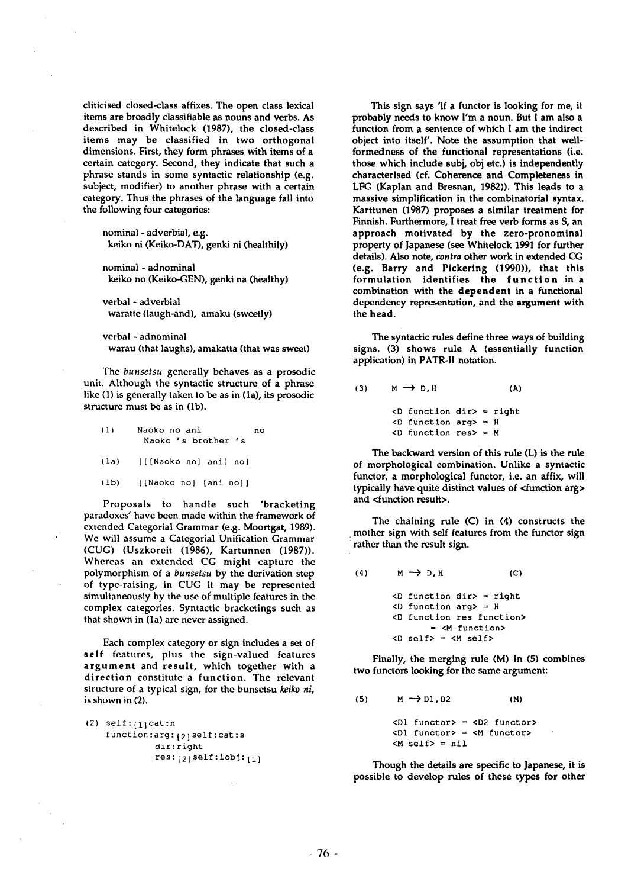cliticised closed-class affixes. The open class lexical items are broadly classifiable as nouns and verbs. As described in Whitelock (1987), the closed-class items may be classified in two orthogonal dimensions. First, they form phrases with items of a certain category. Second, they indicate that such a phrase stands in some syntactic relationship (e.g. subject, modifier) to another phrase with a certain category. Thus the phrases of the language fall into the following four categories:

nominal - adverbial, e.g. keiko ni (Keiko-DAT), genki ni (healthily)

nominal - adnominal keiko no (Keiko-GEN), genki na (healthy)

verbal - adverbial waratte (laugh-and), amaku (sweetly)

verbal - adnominal warau (that laughs), amakatta (that was sweet)

The *bunsetsu* generally behaves as a prosodic unit. Although the syntactic structure of a phrase like (1) is generally taken to be as in (1a), its prosodic structure must be as in (lb).

(i) Naoko no ant no Naoko's brother 's

(la) [[[Naoko no] ant] no]

(ib) [[Naoko no] [ant no]]

Proposals to handle such 'bracketing paradoxes' have been made within the framework of extended Categorial Grammar (e.g. Moortgat, 1989). We will assume a Categorial Unification Grammar (CUG) (Uszkoreit (1986), Kartunnen (1987)). Whereas an extended CG might capture the polymorphism of a *bunsetsu* by the derivation step of type-raising, in CUG it may be represented simultaneously by the use of multiple features in the complex categories. Syntactic bracketings such as that shown in (la) are never assigned.

Each complex category or sign includes a set of self features, plus the sign-valued features **argument** and result, which together with a direction constitute a function. The relevant structure of a typical sign, for the bunsetsu *keiko hi,*  is shown in (2).

| $(2)$ self: $_{[1]}$ cat:n   |
|------------------------------|
| function:arg: [2] self:cat:s |
| dir:right                    |
| $res:_{[2]}self:jobj:_{[1]}$ |

This sign says 'if a functor is looking for me, it probably needs to know I'm a noun. But 1 am also a function from a sentence of which I am the indirect object into itself'. Note the assumption that wellformedness of the functional representations (i.e. those which include subj, obj etc.) is independently characterised (cf. Coherence and Completeness in LFG (Kaplan and Bresnan, 1982)). This leads to a massive simplification in the combinatorial syntax. Karttunen (1987) proposes a similar treatment for Finnish. Furthermore, I treat free verb forms as S, an approach motivated by the zero-pronominal property of Japanese (see Whitelock 1991 for further details). Also note, *contra* other work in extended CG (e.g. Barry and Pickering (1990)), that this formulation identifies the function in a combination with the dependent in a functional dependency representation, and the argument with the **head.** 

The syntactic rules define three ways of building signs. (3) shows rule A (essentially function application) in PATR-II notation.

(3)  $M \rightarrow D.H$  (A)  $<$ D function dir> = right  $<$ D function arg> = H  $\langle$ D function res> = M

The backward version of this rule (L) is the rule of morphological combination. Unlike a syntactic functor, a morphological functor, i.e. an affix, will typically have quite distinct values of <function arg> and <function result>.

The chaining rule (C) in (4) constructs the mother sign with self features from the functor sign rather than the result sign.

(4)

\n
$$
M \rightarrow D, H
$$
\n(C)

\n
$$
\langle D \text{ function } \text{dir} \rangle = \text{right}
$$

\n
$$
\langle D \text{ function } \text{arg} \rangle = H
$$

\n
$$
\langle D \text{ function } \text{res function} \rangle = \langle M \text{ function} \rangle
$$

\n
$$
\langle D \text{ self} \rangle = \langle M \text{ self} \rangle
$$

Finally, the merging rule (M) in (5) combines two functors looking for the same argument:

(5)  $M \rightarrow D1, D2$  (M)

 $\langle$ D1 functor> =  $\langle$ D2 functor>  $\langle$ D1 functor> =  $\langle$ M functor>  $< M$  self> = nil

Though the details are specific to Japanese, it is possible to develop rules of these types for other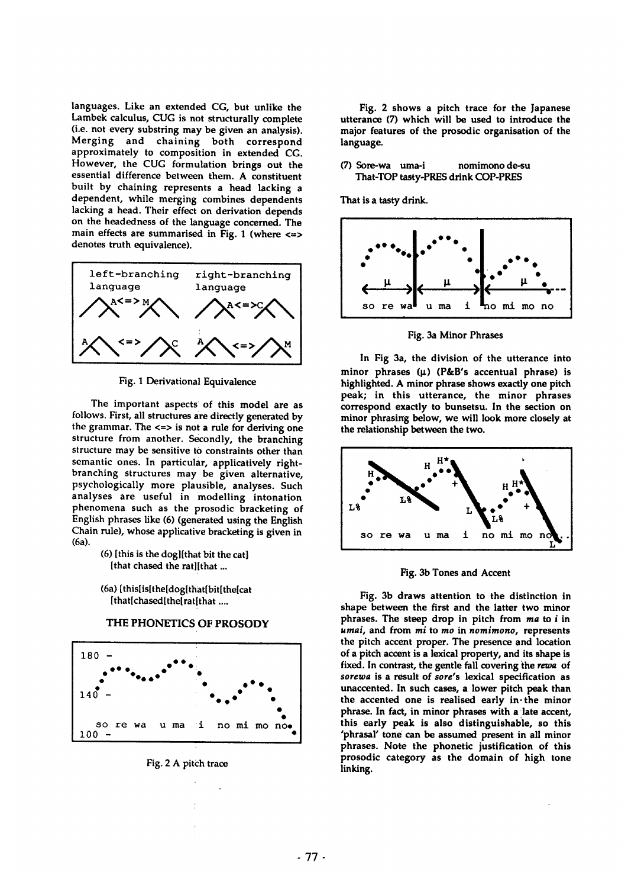languages. Like an extended CG, but unlike the Lambek calculus, CUG is not structurally complete (i.e. not every substring may be given an analysis). Merging and chaining both correspond approximately to composition in extended CG. However, the CUG formulation brings out the essential difference between them. A constituent built by chaining represents a head lacking a dependent, while merging combines dependents lacking a head. Their effect on derivation depends on the headedness of the language concerned. The main effects are summarised in Fig. 1 (where  $\le$ denotes truth equivalence).



Fig. 1 Derivationa! Equivalence

The important aspects of this model are as follows. First, all structures are directly generated by the grammar. The <=> is not a rule for deriving one structure from another. Secondly, the branching structure may be sensitive to constraints other than semantic ones. In particular, applicatively rightbranching structures may be given alternative, psychologically more plausible, analyses. Such analyses are useful in modelling intonation phenomena such as the prosodic bracketing of English phrases like (6) (generated using the English Chain rule), whose applicative bracketing is given in (6a).

> (6) [this is the dog][that bit the cat] [that chased the rat][that ...

(6a) [this[is[the[dog[that[bit[the[cat [that[chased[the[rat[that ....



THE PHONETICS OF PROSODY

Fig. 2 A pitch trace

Fig. 2 shows a pitch trace for the Japanese utterance (7) which will be used to introduce the major features of the prosodic organisation of the language.

(7) Sore-wa uma-i nomimono de-su That-TOP tasty-PRES drink COP-PRES

That is a tasty drink.



Fig. 3a Minor Phrases

In Fig 3a, the division of the utterance into minor phrases  $(\mu)$  (P&B's accentual phrase) is highlighted. A minor phrase shows exactly one pitch peak; in this utterance, the minor phrases correspond exactly to bunsetsu. In the section on minor phrasing below, we will look more closely at the relationship between the two.



Fig. 3b Tones and Accent

Fig. 3b draws attention to the distinction in shape between the first and the latter two minor phrases. The steep drop in pitch from *ma* to i in *umai,* and from *mi* to *m•* in *nomimono,* represents the pitch accent proper. The presence and location of a pitch accent is a lexical property, and its shape is fixed. In contrast, the gentle fall covering 'the *rewa* of *sorewa* is a result of *sore's* lexical specification as unaccented. In such cases, a lower pitch peak than the accented one is realised early in-the minor phrase. In fact, in minor phrases with a late accent, this early peak is also distinguishable, so this 'phrasal' tone can be assumed present in all minor phrases. Note the phonetic justification of this prosodic category as the domain of high tone linking.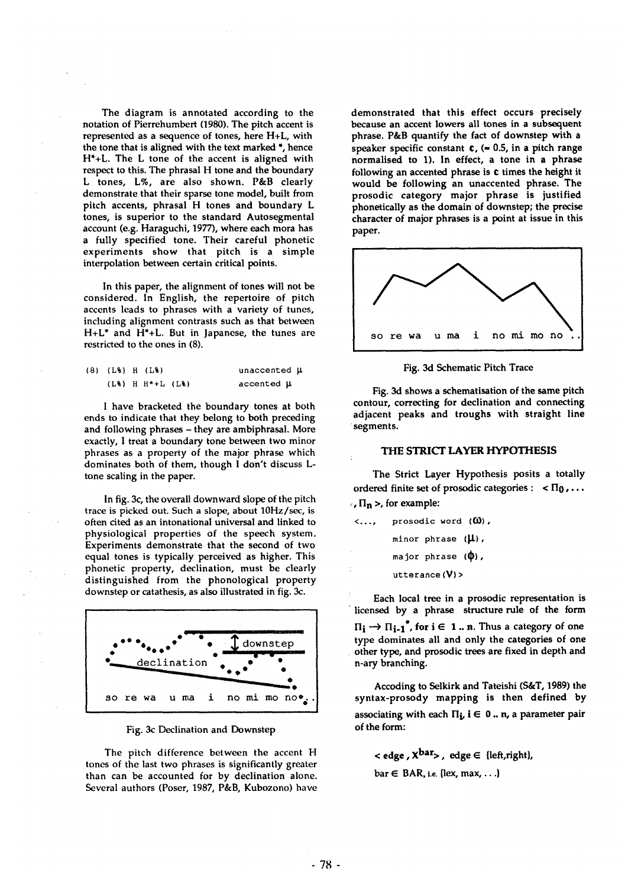The diagram is annotated according to the notation of Pierrehumbert (1980). The pitch accent is represented as a sequence of tones, here H+L, with the tone that is aligned with the text marked \*, hence H\*+L. The L tone of the accent is aligned with respect to this. The phrasal H tone and the boundary L tones, L%, are also shown. P&B clearly demonstrate that their sparse tone model, built from pitch accents, phrasal H tones and boundary L tones, is superior to the standard Autosegmental account (e.g. Haraguchi, 1977), where each mora has a fully specified tone. Their careful phonetic experiments show that pitch is a simple interpolation between certain critical points.

In this paper, the alignment of tones will not be considered. In English, the repertoire of pitch accents leads to phrases with a variety of tunes, including alignment contrasts such as that between H+L\* and H\*+L. But in Japanese, the tunes are restricted to the ones in (8).

| (8) (L%) H (L%) |                           | unaccented µ   |
|-----------------|---------------------------|----------------|
|                 | $(L_8)$ H $H^*+L$ $(L_8)$ | accented $\mu$ |

I have bracketed the boundary tones at both ends to indicate that they belong to both preceding and following phrases - they are ambiphrasal. More exactly, I treat a boundary tone between two minor phrases as a property of the major phrase which dominates both of them, though I don't discuss Ltone scaling in the paper.

In fig. 3c, the overall downward slope of the pitch trace is picked out. Such a slope, about 10Hz/sec, is often cited as an intonational universal and linked to physiological properties of the speech system. Experiments demonstrate that the second of two equal tones is typically perceived as higher. This phonetic property, declination, must be clearly distinguished from the phonological property downstep or catathesis, as also illustrated in fig. 3c.



Fig. 3c Declination and Downstep

The pitch difference between the accent H tones of the last two phrases is significantly greater than can be accounted for by declination alone. Several authors (Poser, 1987, P&B, Kubozono) have

demonstrated that this effect occurs precisely because an accent lowers all tones in a subsequent phrase. P&B quantify the fact of downstep with a speaker specific constant  $c$ , ( $\approx$  0.5, in a pitch range normalised to 1). In effect, a tone in a phrase following an accented phrase is c times the height it would be following an unaccented phrase. The prosodic category major phrase is justified phonetically as the domain of downstep; the precise character of major phrases is a point at issue in this paper.



Fig. 3d Schematic Pitch Trace

Fig. 3d shows a schematisation of the same pitch contour, correcting for declination and connecting adjacent peaks and troughs with straight line segments.

### THE STRICT LAYER HYPOTHESIS

ordered finite set of prosodic categories :  $\alpha \leq \Pi_0, \ldots$  $\overline{H}_n$  >, for example: The Strict Layer Hypothesis posits a totally

| < | prosodic word $(0)$ ,   |
|---|-------------------------|
|   | minor phrase $(\mu)$ ,  |
|   | major phrase $(\Phi)$ , |
|   | utterance $(V)$         |

Each local tree in a prosodic representation is licensed by a phrase structure rule of the form  $\Pi_i \rightarrow \Pi_{i-1}^*$ , for  $i \in 1...$  n. Thus a category of one type dominates all and only the categories of **one**  other type, and prosodic trees are fixed in depth and n-ary branching.

Acceding to Selkirk and Tateishi (S&T, 1989) the syntax-prosody mapping is then defined by associating with each  $\Pi_{\mathbf{i}}$ ,  $\mathbf{i} \in 0$ .. n, a parameter pair of the form:

 $\langle \cdot \rangle$  edge,  $\chi^{bar}$ , edge  $\in$  {left, right},

 $bar \in BAR$ , i.e. {lex, max, ...}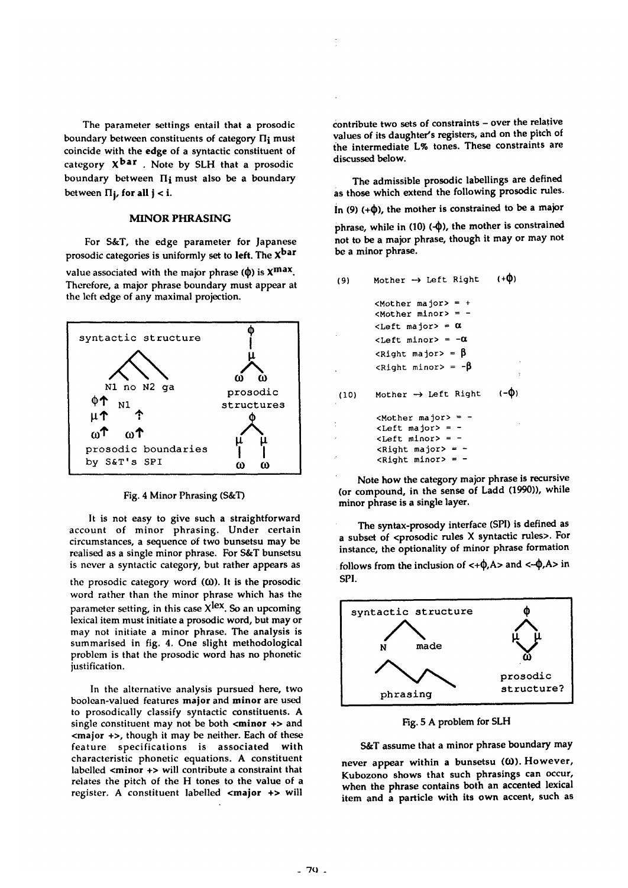The parameter settings entail that a prosodic boundary between constituents of category  $\Pi_i$  must coincide with the edge of a syntactic constituent of category  $X^{bar}$ . Note by SLH that a prosodic boundary between  $\Pi_i$  must also be a boundary between  $\Pi_{i}$ , for all  $j < i$ .

### MINOR PHRASING

For S&T, the edge parameter for Japanese prosodic categories is uniformly set to left. The  $X<sup>bar</sup>$ 

value associated with the major phrase ( $\phi$ ) is  $X^{\max}$ . Therefore, a major phrase boundary must appear at the left edge of any maximal projection.



#### Fig. 4 Minor Phrasing (S&T)

It is not easy to give such a straightforward account of minor phrasing. Under certain circumstances, a sequence of two bunsetsu may be realised as a single minor phrase. For S&T bunsetsu is never a syntactic category, but rather appears as

the prosodic category word  $(0)$ . It is the prosodic word rather than the minor phrase which has the parameter setting, in this case  $X^{lex}$ . So an upcoming lexical item must initiate a prosodic word, but may or may not initiate a minor phrase. The analysis is summarised in fig. 4. One slight methodological problem is that the prosodic word has no phonetic justification.

In the alternative analysis pursued here, two boolean-valued features major and minor are used to prosodically classify syntactic constituents. A single constituent may not be both  $\leq$  minor  $\leftrightarrow$  and  $\epsilon$ major  $\epsilon$  , though it may be neither. Each of these feature specifications is associated with characteristic phonetic equations. A constituent labelled <minor +> will contribute a constraint that relates the pitch of the H tones to the value of a register. A constituent labelled <major +> will

contribute two sets of constraints - over the relative values of its daughter's registers, and on the pitch of the intermediate L% tones. These constraints are discussed below.

The admissible prosodic labellings are defined as those which extend the following prosodic rules. In (9) (+ $\phi$ ), the mother is constrained to be a major phrase, while in  $(10)$  ( $\Phi$ ), the mother is constrained not to be a major phrase, though it may or may not be a minor phrase.

 $\mathbf{A}$ 

| (9)  | Mother $\rightarrow$ Left Right                                                    | (+V)      |
|------|------------------------------------------------------------------------------------|-----------|
|      | $<$ Mother major> = +<br>$Mother\, minor> = -$<br>$\langle$ Left major> = $\alpha$ |           |
|      | $\text{Left}$ minor> = $-\alpha$                                                   |           |
|      |                                                                                    |           |
|      | $\langle$ Right major> = $\beta$                                                   |           |
|      | $\langle$ Right minor> = - $\beta$                                                 | ÷         |
| (10) | Mother $\rightarrow$ Left Right                                                    | $(-\Phi)$ |
|      | $<$ Mother major> = -                                                              |           |
|      | $\text{cLeft}$ major> = -                                                          |           |
|      | $Left \; \text{minor} > = -$                                                       |           |
|      | <right major=""> = -</right>                                                       |           |
|      | $\langle$ Right minor> = -                                                         |           |

Note how the category major phrase is recursive (or compound, in the sense of Ladd (1990)), while minor phrase is a single layer.

The syntax-prosody interface (SPI) is defined as a subset of <prosodic rules X syntactic rules>. For instance, the optionality of minor phrase formation

follows from the inclusion of  $\langle +\phi, A \rangle$  and  $\langle -\phi, A \rangle$  in SPI.



**Fig.** 5 A problem for SLH

### S&T assume that a minor phrase boundary may

never appear within a bunsetsu  $(0)$ . However, Kubozono shows that such phrasings can occur, when the phrase contains both an accented lexical item and a particle with its own accent, such as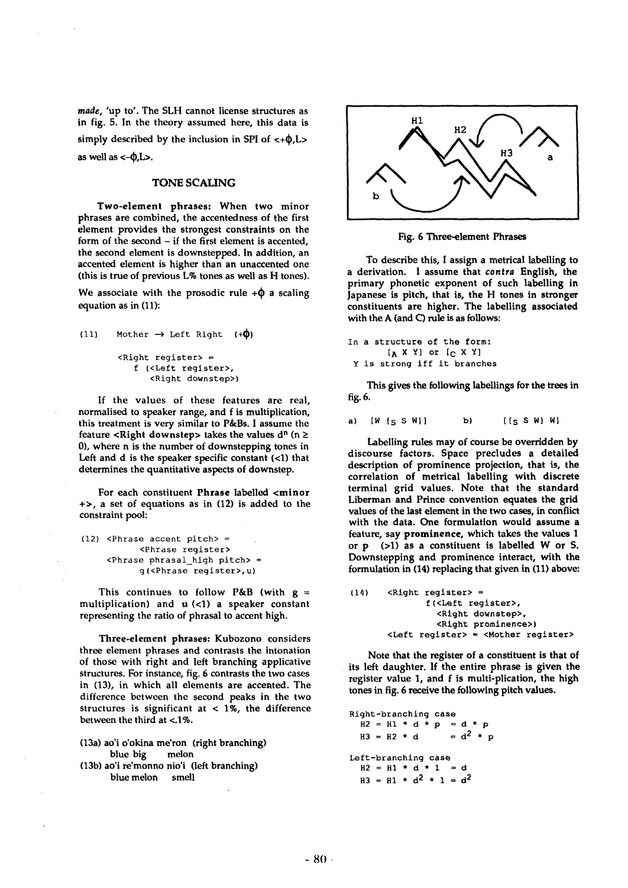*made,* 'up to'. The SLH cannot license structures as in fig. 5. In the theory assumed here, this data is simply described by the inclusion in SPI of  $\langle +\phi, L \rangle$ as well as  $\langle -\phi, L \rangle$ .

# TONE SCALING

**Two-element phrases:** When two minor phrases are combined, the accentedness of the first element provides the strongest constraints on the form of the second - if the first element is accented, the second element is downstepped. In addition, an accented element is higher than an unaccented one (this is true of previous L% tones as well as H tones).

We associate with the prosodic rule  $+\phi$  a scaling equation as in (11):

```
(11) Mother \rightarrow Left Right (+\phi)
   \langleRight register> =
       f (<Left register>, 
           <Right downstep>)
```
If the values of these features are real, normalised to speaker range, and f is multiplication, this treatment is very similar to P&Bs. I assume the feature <Right downstep> takes the values  $d^n$  (n ≥ 0), where n is the number of downstepping tones in Left and d is the speaker specific constant (<1) that determines the quantitative aspects of downstep.

For each constituent Phrase labelled <minor +>, a set of equations as in (12) is added to the constraint pool:

```
(12) <Phrase accent pitch> =
      <Phrase register> 
<Phrase phrasal high pitch> = 
      g(<Phrase register>,u)
```
This continues to follow P&B (with  $g =$ multiplication) and  $u$  (<1) a speaker constant representing the ratio of phrasal to accent high.

**Three-element phrases:** Kubozono considers three element phrases and contrasts the intonation of those with right and left branching applicative structures. For instance, fig. 6 contrasts the two cases in (13), in which all elements are accented. The difference between the second peaks in the two structures is significant at  $<$  1%, the difference between the third at <.1%.

(13a) ao'i o'okina me'ron (right branching) blue big melon (13b) ao'i re'monno nio'i (left branching) blue melon smell

 $H1$  $H<sub>2</sub>$ н3

Fig. 6 Three-element Phrases

To describe this, I assign a metrical labelling to a derivation. I assume that *contra* English, **the**  primary phonetic exponent of such labelling in Japanese is pitch, that is, the H tones in stronger constituents are higher. The labelling associated with the A (and C) rule is as follows:

```
In a structure of the form: 
  [A X Y] or [C X Y]Y is strong iff it branches
```
This gives the following labellings for the trees in fig. 6.

a)  $[W [S SN] ]$  b)  $[[S SN] W]$ 

Labelling rules may of course be overridden by discourse factors. Space precludes a detailed description of prominence projection, that is, the correlation of metrical labelling with discrete terminal grid values. Note that the standard Liberman and Prince convention equates the grid values of the last element in the two cases, in conflict with the data. One formulation would assume a feature, say prominence, which takes the values 1 or p (>1) as a constituent is labelled W or S. Downstepping and prominence interact, with the formulation in (14) replacing that given in (11) above:

```
(14) <Right register> = 
          f(<Left register>, 
            <Right downstep>, 
            <Right prominence>) 
  <Left register> = <Mother register>
```
Note that the register of a constituent is that of its left daughter. If the entire phrase is given **the**  register value 1, and f is multi-plication, the **high**  tones in fig. 6 receive the following pitch values.

Right-branching case  $H2 = H1 * d * p = d * p$  $H3 = H2 \times d$  =  $d^2 \times p$ Left-branching case  $H2 = H1 * d * 1 = d$  $H3 = H1 \star d^2 \star 1 = d^2$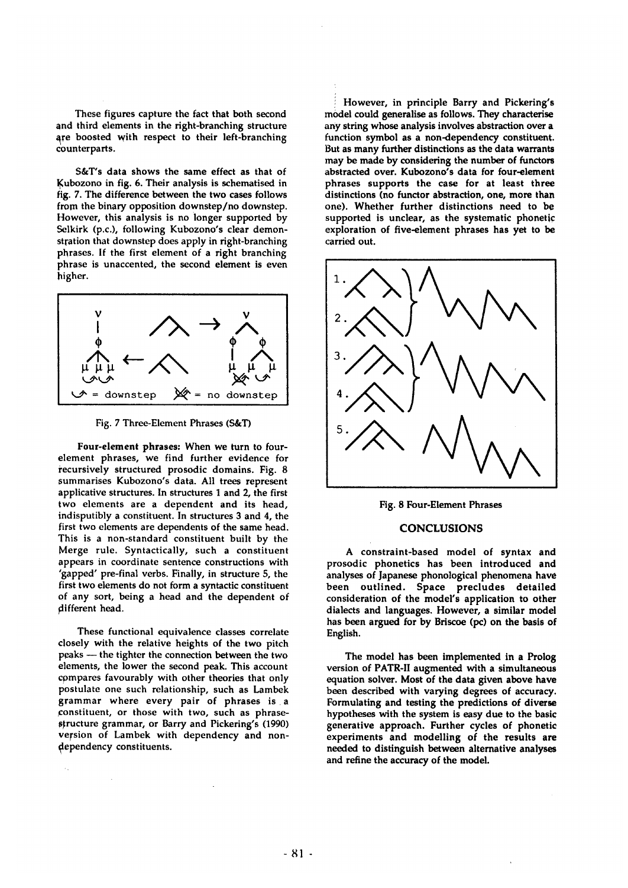These figures capture the fact that both second and third elements in the right-branching structure are boosted with respect to their left-branching counterparts.

S&T's data shows the same effect as that of Kubozono in fig. 6. Their analysis is schematised in fig. 7. The difference between the two cases follows from the binary opposition downstep/no downstep. However, this analysis is no longer supported by Selkirk (p.c.), following Kubozono's clear demonstration that downstep does apply in right-branching phrases. If the first element of a right branching phrase is unaccented, the second element is even higher.



Fig. 7 Three-Element Phrases (S&T)

Four-element phrases: When we turn to fourelement phrases, we find further evidence for recursively structured prosodic domains. Fig. 8 summarises Kubozono's data. All trees represent applicative structures. In structures 1 and 2, the first two elements are a dependent and its head, indisputibly a constituent. In structures 3 and 4, the first two elements are dependents of the same head. This is a non-standard constituent built by the Merge rule. Syntactically, such a constituent appears in coordinate sentence constructions with "gapped' pre-final verbs. Finally, in structure 5, the first two elements do not form a syntactic constituent of any sort, being a head and the dependent of different head.

These functional equivalence classes correlate closely with the relative heights of the two pitch peaks -- the tighter the connection between the two elements, the lower the second peak. This account compares favourably with other theories that only postulate one such relationship, such as Lambek grammar where every pair of phrases is a constituent, or those with two, such as phrasestructure grammar, or Barry and Pickering's (1990) version of Lambek with dependency and nondependency constituents.

However, in principle Barry and Pickering's model could generalise as follows. They characterise any string whose analysis involves abstraction over a function symbol as a non-dependency constituent. But as many further distinctions as the data warrants may be made by considering the number of functors abstracted over. Kubozono's data for four-element phrases supports the case for at least three distinctions (no functor abstraction, one, more than one). Whether further distinctions need to be supported is unclear, as the systematic phonetic exploration of five-element phrases has yet to be carried out.



Fig. 8 Four-Element Phrases

## CONCLUSIONS

A constraint-based model of syntax and prosodic phonetics has been introduced and analyses of Japanese phonological phenomena have been outlined. Space precludes detailed consideration of the model's application to other dialects and languages. However, a similar model has been argued for by Briscoe (pc) on the basis of English.

The model has been implemented in a Prolog version of PATR-II augmented with a simultaneous equation solver. Most of the data given above have been described with varying degrees of accuracy. Formulating and testing the predictions of diverse hypotheses with the system is easy due to the basic generative approach. Further cycles of phonetic experiments and modelling of the results are needed to distinguish between alternative analyses and refine the accuracy of the model.